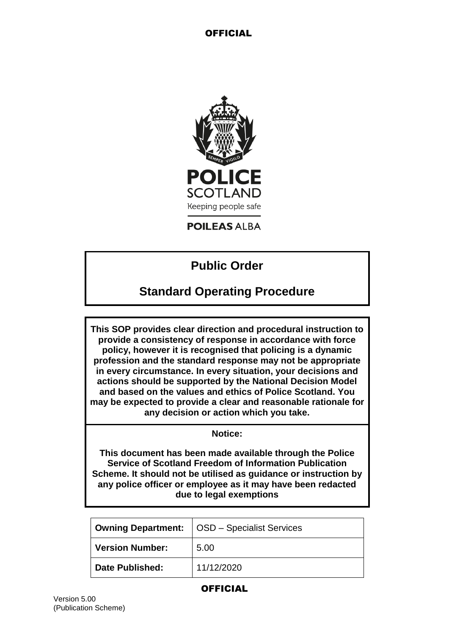

**POILEAS ALBA** 

# **Public Order**

# **Standard Operating Procedure**

**This SOP provides clear direction and procedural instruction to provide a consistency of response in accordance with force policy, however it is recognised that policing is a dynamic profession and the standard response may not be appropriate in every circumstance. In every situation, your decisions and actions should be supported by the National Decision Model and based on the values and ethics of Police Scotland. You may be expected to provide a clear and reasonable rationale for any decision or action which you take.**

#### **Notice:**

**This document has been made available through the Police Service of Scotland Freedom of Information Publication Scheme. It should not be utilised as guidance or instruction by any police officer or employee as it may have been redacted due to legal exemptions**

| <b>Owning Department:</b> | OSD - Specialist Services |
|---------------------------|---------------------------|
| <b>Version Number:</b>    | 5.00                      |
| <b>Date Published:</b>    | 11/12/2020                |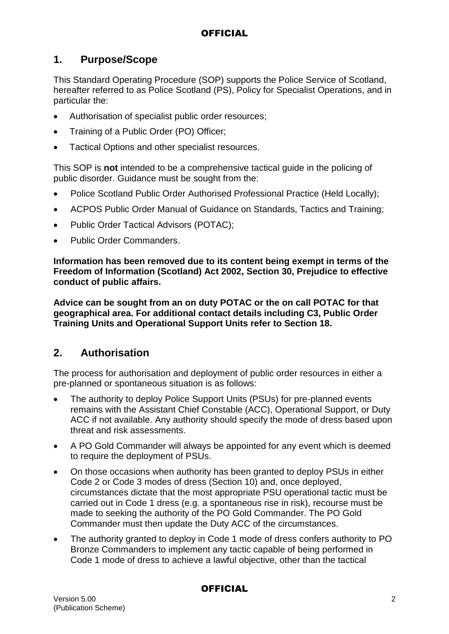### **1. Purpose/Scope**

This Standard Operating Procedure (SOP) supports the Police Service of Scotland, hereafter referred to as Police Scotland (PS), Policy for Specialist Operations, and in particular the:

- Authorisation of specialist public order resources;
- Training of a Public Order (PO) Officer;
- Tactical Options and other specialist resources.

This SOP is **not** intended to be a comprehensive tactical guide in the policing of public disorder. Guidance must be sought from the:

- Police Scotland Public Order Authorised Professional Practice (Held Locally);
- ACPOS Public Order Manual of Guidance on Standards, Tactics and Training;
- Public Order Tactical Advisors (POTAC);
- Public Order Commanders.

**Information has been removed due to its content being exempt in terms of the Freedom of Information (Scotland) Act 2002, Section 30, Prejudice to effective conduct of public affairs.**

**Advice can be sought from an on duty POTAC or the on call POTAC for that geographical area. For additional contact details including C3, Public Order Training Units and Operational Support Units refer to Section 18.**

### **2. Authorisation**

The process for authorisation and deployment of public order resources in either a pre-planned or spontaneous situation is as follows:

- The authority to deploy Police Support Units (PSUs) for pre-planned events remains with the Assistant Chief Constable (ACC), Operational Support, or Duty ACC if not available. Any authority should specify the mode of dress based upon threat and risk assessments.
- A PO Gold Commander will always be appointed for any event which is deemed to require the deployment of PSUs.
- On those occasions when authority has been granted to deploy PSUs in either Code 2 or Code 3 modes of dress (Section 10) and, once deployed, circumstances dictate that the most appropriate PSU operational tactic must be carried out in Code 1 dress (e.g. a spontaneous rise in risk), recourse must be made to seeking the authority of the PO Gold Commander. The PO Gold Commander must then update the Duty ACC of the circumstances.
- The authority granted to deploy in Code 1 mode of dress confers authority to PO Bronze Commanders to implement any tactic capable of being performed in Code 1 mode of dress to achieve a lawful objective, other than the tactical

#### Version 5.00 2 (Publication Scheme)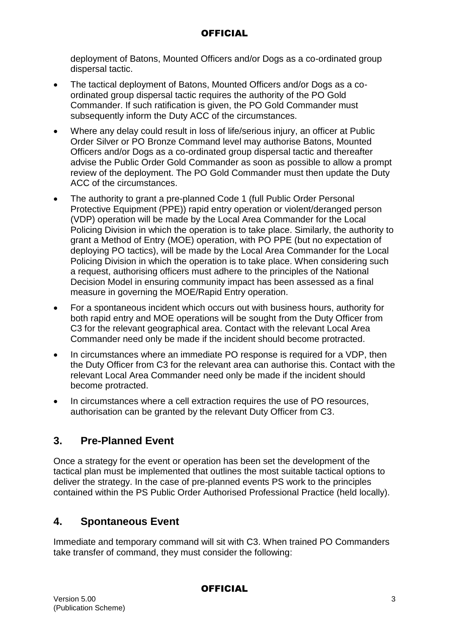deployment of Batons, Mounted Officers and/or Dogs as a co-ordinated group dispersal tactic.

- The tactical deployment of Batons, Mounted Officers and/or Dogs as a coordinated group dispersal tactic requires the authority of the PO Gold Commander. If such ratification is given, the PO Gold Commander must subsequently inform the Duty ACC of the circumstances.
- Where any delay could result in loss of life/serious injury, an officer at Public Order Silver or PO Bronze Command level may authorise Batons, Mounted Officers and/or Dogs as a co-ordinated group dispersal tactic and thereafter advise the Public Order Gold Commander as soon as possible to allow a prompt review of the deployment. The PO Gold Commander must then update the Duty ACC of the circumstances.
- The authority to grant a pre-planned Code 1 (full Public Order Personal Protective Equipment (PPE)) rapid entry operation or violent/deranged person (VDP) operation will be made by the Local Area Commander for the Local Policing Division in which the operation is to take place. Similarly, the authority to grant a Method of Entry (MOE) operation, with PO PPE (but no expectation of deploying PO tactics), will be made by the Local Area Commander for the Local Policing Division in which the operation is to take place. When considering such a request, authorising officers must adhere to the principles of the National Decision Model in ensuring community impact has been assessed as a final measure in governing the MOE/Rapid Entry operation.
- For a spontaneous incident which occurs out with business hours, authority for both rapid entry and MOE operations will be sought from the Duty Officer from C3 for the relevant geographical area. Contact with the relevant Local Area Commander need only be made if the incident should become protracted.
- In circumstances where an immediate PO response is required for a VDP, then the Duty Officer from C3 for the relevant area can authorise this. Contact with the relevant Local Area Commander need only be made if the incident should become protracted.
- In circumstances where a cell extraction requires the use of PO resources, authorisation can be granted by the relevant Duty Officer from C3.

### **3. Pre-Planned Event**

Once a strategy for the event or operation has been set the development of the tactical plan must be implemented that outlines the most suitable tactical options to deliver the strategy. In the case of pre-planned events PS work to the principles contained within the PS Public Order Authorised Professional Practice (held locally).

### **4. Spontaneous Event**

Immediate and temporary command will sit with C3. When trained PO Commanders take transfer of command, they must consider the following: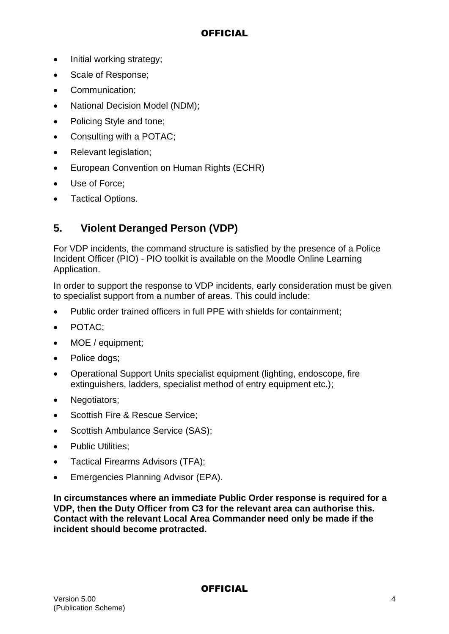- Initial working strategy;
- Scale of Response;
- Communication:
- National Decision Model (NDM);
- Policing Style and tone;
- Consulting with a POTAC;
- Relevant legislation;
- European Convention on Human Rights (ECHR)
- Use of Force;
- Tactical Options.

### **5. Violent Deranged Person (VDP)**

For VDP incidents, the command structure is satisfied by the presence of a Police Incident Officer (PIO) - PIO toolkit is available on the Moodle Online Learning Application.

In order to support the response to VDP incidents, early consideration must be given to specialist support from a number of areas. This could include:

- Public order trained officers in full PPE with shields for containment;
- POTAC:
- MOE / equipment:
- Police dogs;
- Operational Support Units specialist equipment (lighting, endoscope, fire extinguishers, ladders, specialist method of entry equipment etc.);
- Negotiators:
- Scottish Fire & Rescue Service;
- Scottish Ambulance Service (SAS);
- Public Utilities:
- Tactical Firearms Advisors (TFA):
- **Emergencies Planning Advisor (EPA).**

**In circumstances where an immediate Public Order response is required for a VDP, then the Duty Officer from C3 for the relevant area can authorise this. Contact with the relevant Local Area Commander need only be made if the incident should become protracted.**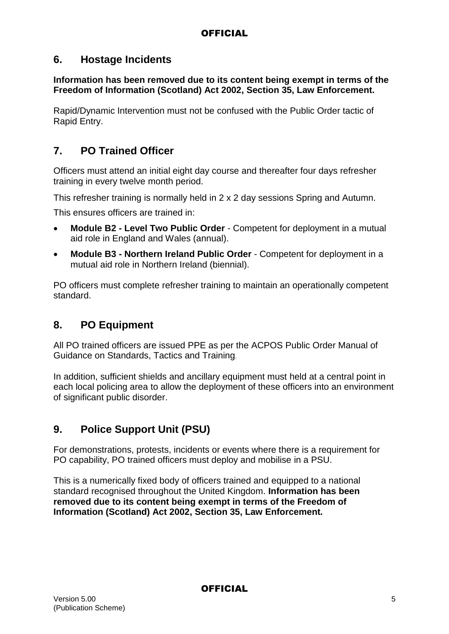### **6. Hostage Incidents**

#### **Information has been removed due to its content being exempt in terms of the Freedom of Information (Scotland) Act 2002, Section 35, Law Enforcement.**

Rapid/Dynamic Intervention must not be confused with the Public Order tactic of Rapid Entry.

### **7. PO Trained Officer**

Officers must attend an initial eight day course and thereafter four days refresher training in every twelve month period.

This refresher training is normally held in 2 x 2 day sessions Spring and Autumn.

This ensures officers are trained in:

- **Module B2 - Level Two Public Order** Competent for deployment in a mutual aid role in England and Wales (annual).
- **Module B3 - Northern Ireland Public Order** Competent for deployment in a mutual aid role in Northern Ireland (biennial).

PO officers must complete refresher training to maintain an operationally competent standard.

### **8. PO Equipment**

All PO trained officers are issued PPE as per the ACPOS Public Order Manual of Guidance on Standards, Tactics and Training.

In addition, sufficient shields and ancillary equipment must held at a central point in each local policing area to allow the deployment of these officers into an environment of significant public disorder.

### **9. Police Support Unit (PSU)**

For demonstrations, protests, incidents or events where there is a requirement for PO capability, PO trained officers must deploy and mobilise in a PSU.

This is a numerically fixed body of officers trained and equipped to a national standard recognised throughout the United Kingdom. **Information has been removed due to its content being exempt in terms of the Freedom of Information (Scotland) Act 2002, Section 35, Law Enforcement.**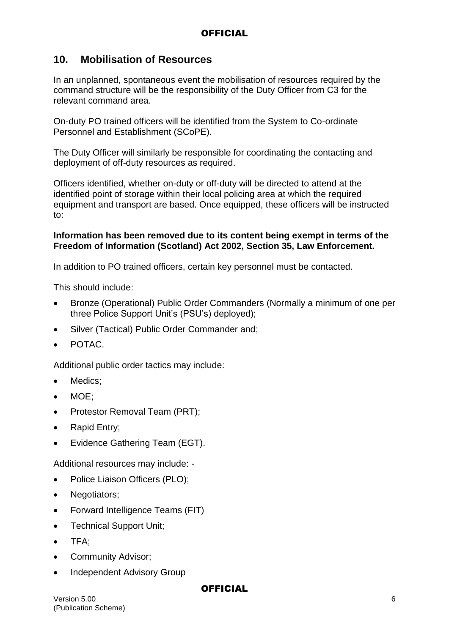### **10. Mobilisation of Resources**

In an unplanned, spontaneous event the mobilisation of resources required by the command structure will be the responsibility of the Duty Officer from C3 for the relevant command area.

On-duty PO trained officers will be identified from the System to Co-ordinate Personnel and Establishment (SCoPE).

The Duty Officer will similarly be responsible for coordinating the contacting and deployment of off-duty resources as required.

Officers identified, whether on-duty or off-duty will be directed to attend at the identified point of storage within their local policing area at which the required equipment and transport are based. Once equipped, these officers will be instructed to:

#### **Information has been removed due to its content being exempt in terms of the Freedom of Information (Scotland) Act 2002, Section 35, Law Enforcement.**

In addition to PO trained officers, certain key personnel must be contacted.

This should include:

- Bronze (Operational) Public Order Commanders (Normally a minimum of one per three Police Support Unit's (PSU's) deployed);
- Silver (Tactical) Public Order Commander and:
- POTAC.

Additional public order tactics may include:

- Medics:
- MOE:
- Protestor Removal Team (PRT);
- Rapid Entry;
- Evidence Gathering Team (EGT).

Additional resources may include: -

- Police Liaison Officers (PLO);
- Negotiators;
- Forward Intelligence Teams (FIT)
- Technical Support Unit;
- TFA:
- **•** Community Advisor;
- Independent Advisory Group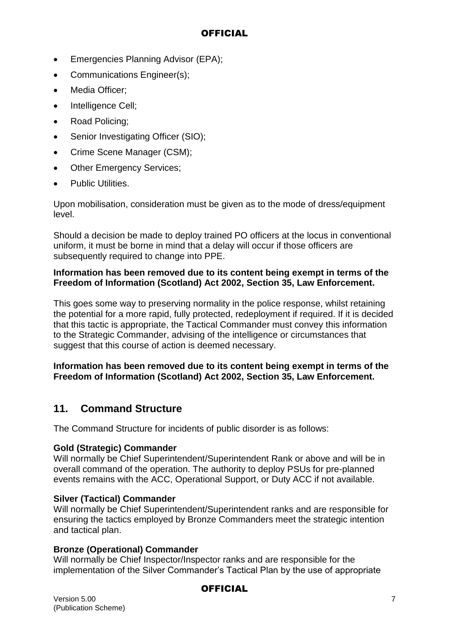- Emergencies Planning Advisor (EPA):
- Communications Engineer(s);
- Media Officer:
- Intelligence Cell;
- Road Policing;
- Senior Investigating Officer (SIO);
- Crime Scene Manager (CSM):
- Other Emergency Services;
- Public Utilities.

Upon mobilisation, consideration must be given as to the mode of dress/equipment level.

Should a decision be made to deploy trained PO officers at the locus in conventional uniform, it must be borne in mind that a delay will occur if those officers are subsequently required to change into PPE.

#### **Information has been removed due to its content being exempt in terms of the Freedom of Information (Scotland) Act 2002, Section 35, Law Enforcement.**

This goes some way to preserving normality in the police response, whilst retaining the potential for a more rapid, fully protected, redeployment if required. If it is decided that this tactic is appropriate, the Tactical Commander must convey this information to the Strategic Commander, advising of the intelligence or circumstances that suggest that this course of action is deemed necessary.

#### **Information has been removed due to its content being exempt in terms of the Freedom of Information (Scotland) Act 2002, Section 35, Law Enforcement.**

### **11. Command Structure**

The Command Structure for incidents of public disorder is as follows:

#### **Gold (Strategic) Commander**

Will normally be Chief Superintendent/Superintendent Rank or above and will be in overall command of the operation. The authority to deploy PSUs for pre-planned events remains with the ACC, Operational Support, or Duty ACC if not available.

#### **Silver (Tactical) Commander**

Will normally be Chief Superintendent/Superintendent ranks and are responsible for ensuring the tactics employed by Bronze Commanders meet the strategic intention and tactical plan.

#### **Bronze (Operational) Commander**

Will normally be Chief Inspector/Inspector ranks and are responsible for the implementation of the Silver Commander's Tactical Plan by the use of appropriate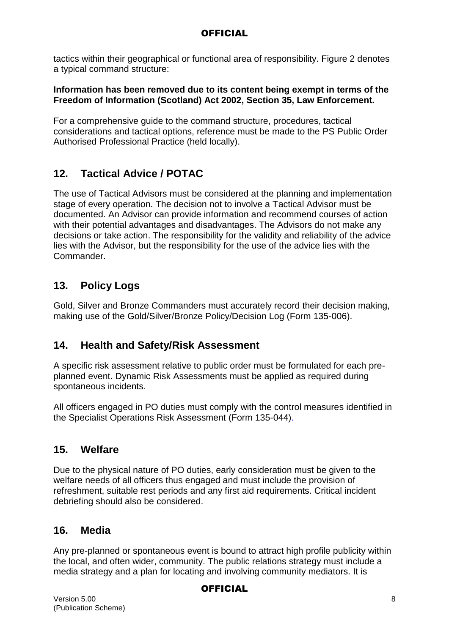tactics within their geographical or functional area of responsibility. Figure 2 denotes a typical command structure:

#### **Information has been removed due to its content being exempt in terms of the Freedom of Information (Scotland) Act 2002, Section 35, Law Enforcement.**

For a comprehensive guide to the command structure, procedures, tactical considerations and tactical options, reference must be made to the PS Public Order Authorised Professional Practice (held locally).

### **12. Tactical Advice / POTAC**

The use of Tactical Advisors must be considered at the planning and implementation stage of every operation. The decision not to involve a Tactical Advisor must be documented. An Advisor can provide information and recommend courses of action with their potential advantages and disadvantages. The Advisors do not make any decisions or take action. The responsibility for the validity and reliability of the advice lies with the Advisor, but the responsibility for the use of the advice lies with the Commander.

### **13. Policy Logs**

Gold, Silver and Bronze Commanders must accurately record their decision making, making use of the Gold/Silver/Bronze Policy/Decision Log (Form 135-006).

### **14. Health and Safety/Risk Assessment**

A specific risk assessment relative to public order must be formulated for each preplanned event. Dynamic Risk Assessments must be applied as required during spontaneous incidents.

All officers engaged in PO duties must comply with the control measures identified in the Specialist Operations Risk Assessment (Form 135-044).

### **15. Welfare**

Due to the physical nature of PO duties, early consideration must be given to the welfare needs of all officers thus engaged and must include the provision of refreshment, suitable rest periods and any first aid requirements. Critical incident debriefing should also be considered.

### **16. Media**

Any pre-planned or spontaneous event is bound to attract high profile publicity within the local, and often wider, community. The public relations strategy must include a media strategy and a plan for locating and involving community mediators. It is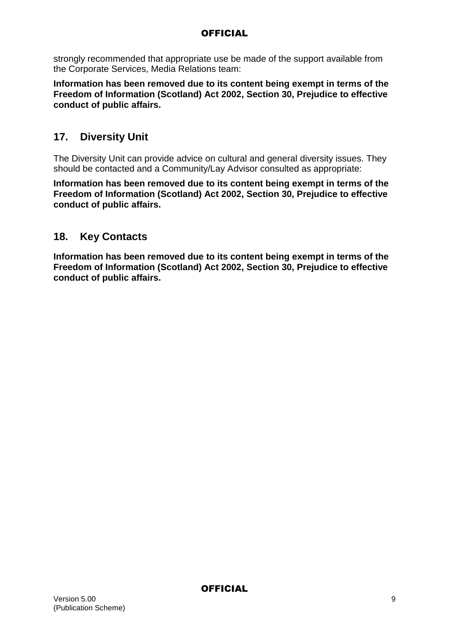strongly recommended that appropriate use be made of the support available from the Corporate Services, Media Relations team:

**Information has been removed due to its content being exempt in terms of the Freedom of Information (Scotland) Act 2002, Section 30, Prejudice to effective conduct of public affairs.**

### **17. Diversity Unit**

The Diversity Unit can provide advice on cultural and general diversity issues. They should be contacted and a Community/Lay Advisor consulted as appropriate:

**Information has been removed due to its content being exempt in terms of the Freedom of Information (Scotland) Act 2002, Section 30, Prejudice to effective conduct of public affairs.**

### **18. Key Contacts**

**Information has been removed due to its content being exempt in terms of the Freedom of Information (Scotland) Act 2002, Section 30, Prejudice to effective conduct of public affairs.**